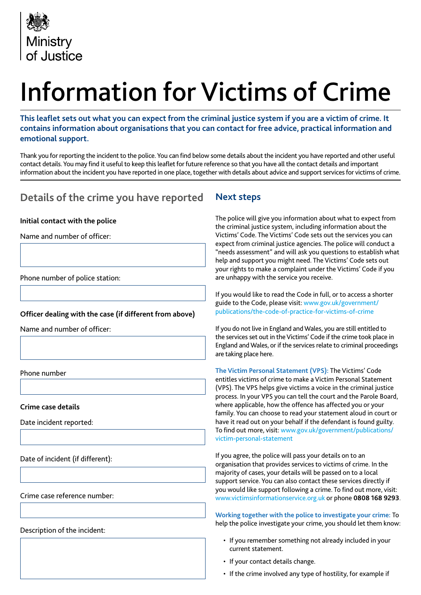

# Information for Victims of Crime

**This leaflet sets out what you can expect from the criminal justice system if you are a victim of crime. It contains information about organisations that you can contact for free advice, practical information and emotional support.**

Thank you for reporting the incident to the police. You can find below some details about the incident you have reported and other useful contact details. You may find it useful to keep this leaflet for future reference so that you have all the contact details and important information about the incident you have reported in one place, together with details about advice and support services for victims of crime.

## **Details of the crime you have reported**

#### **Initial contact with the police**

Name and number of officer:

Phone number of police station:

#### **Officer dealing with the case (if different from above)**

Name and number of officer:

Phone number

**Crime case details**

Date incident reported:

Date of incident (if different):

Crime case reference number:

Description of the incident:

### **Next steps**

The police will give you information about what to expect from the criminal justice system, including information about the Victims' Code. The Victims' Code sets out the services you can expect from criminal justice agencies. The police will conduct a "needs assessment" and will ask you questions to establish what help and support you might need. The Victims' Code sets out your rights to make a complaint under the Victims' Code if you are unhappy with the service you receive.

If you would like to read the Code in full, or to access a shorter guide to the Code, please visit: www.gov.uk/government/ publications/the-code-of-practice-for-victims-of-crime

If you do not live in England and Wales, you are still entitled to the services set out in the Victims' Code if the crime took place in England and Wales, or if the services relate to criminal proceedings are taking place here.

**The Victim Personal Statement (VPS):** The Victims' Code entitles victims of crime to make a Victim Personal Statement (VPS). The VPS helps give victims a voice in the criminal justice process. In your VPS you can tell the court and the Parole Board, where applicable, how the offence has affected you or your family. You can choose to read your statement aloud in court or have it read out on your behalf if the defendant is found guilty. To find out more, visit: www.gov.uk/government/publications/ victim-personal-statement

If you agree, the police will pass your details on to an organisation that provides services to victims of crime. In the majority of cases, your details will be passed on to a local support service. You can also contact these services directly if you would like support following a crime. To find out more, visit: www.victimsinformationservice.org.uk or phone **0808 168 9293**.

**Working together with the police to investigate your crime:** To help the police investigate your crime, you should let them know:

- If you remember something not already included in your current statement.
- If your contact details change.
- If the crime involved any type of hostility, for example if